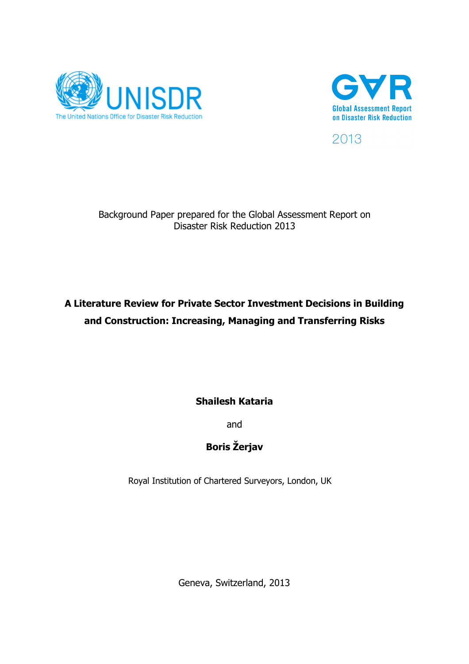



2013

## Background Paper prepared for the Global Assessment Report on Disaster Risk Reduction 2013

# **A Literature Review for Private Sector Investment Decisions in Building and Construction: Increasing, Managing and Transferring Risks**

**Shailesh Kataria**

and

## **Boris Žerjav**

Royal Institution of Chartered Surveyors, London, UK

Geneva, Switzerland, 2013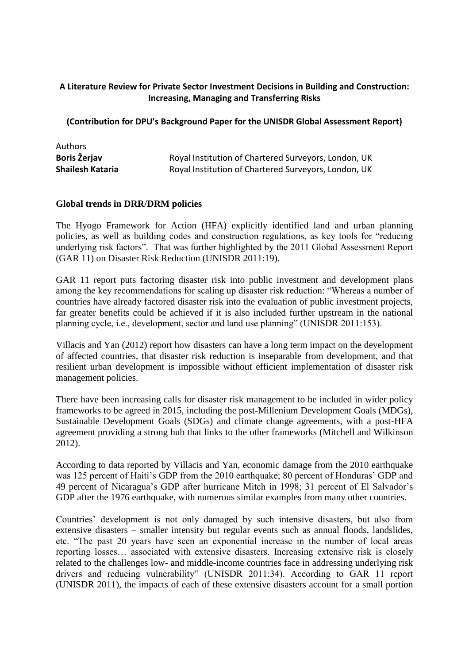### **A Literature Review for Private Sector Investment Decisions in Building and Construction: Increasing, Managing and Transferring Risks**

#### **(Contribution for DPU's Background Paper for the UNISDR Global Assessment Report)**

| Authors                 |                                                      |
|-------------------------|------------------------------------------------------|
| <b>Boris Žerjav</b>     | Royal Institution of Chartered Surveyors, London, UK |
| <b>Shailesh Kataria</b> | Royal Institution of Chartered Surveyors, London, UK |

#### **Global trends in DRR/DRM policies**

The Hyogo Framework for Action (HFA) explicitly identified land and urban planning policies, as well as building codes and construction regulations, as key tools for "reducing underlying risk factors". That was further highlighted by the 2011 Global Assessment Report (GAR 11) on Disaster Risk Reduction (UNISDR 2011:19).

GAR 11 report puts factoring disaster risk into public investment and development plans among the key recommendations for scaling up disaster risk reduction: "Whereas a number of countries have already factored disaster risk into the evaluation of public investment projects, far greater benefits could be achieved if it is also included further upstream in the national planning cycle, i.e., development, sector and land use planning" (UNISDR 2011:153).

Villacis and Yan (2012) report how disasters can have a long term impact on the development of affected countries, that disaster risk reduction is inseparable from development, and that resilient urban development is impossible without efficient implementation of disaster risk management policies.

There have been increasing calls for disaster risk management to be included in wider policy frameworks to be agreed in 2015, including the post-Millenium Development Goals (MDGs), Sustainable Development Goals (SDGs) and climate change agreements, with a post-HFA agreement providing a strong hub that links to the other frameworks (Mitchell and Wilkinson 2012).

According to data reported by Villacis and Yan, economic damage from the 2010 earthquake was 125 percent of Haiti's GDP from the 2010 earthquake; 80 percent of Honduras' GDP and 49 percent of Nicaragua's GDP after hurricane Mitch in 1998; 31 percent of El Salvador's GDP after the 1976 earthquake, with numerous similar examples from many other countries.

Countries' development is not only damaged by such intensive disasters, but also from extensive disasters – smaller intensity but regular events such as annual floods, landslides, etc. "The past 20 years have seen an exponential increase in the number of local areas reporting losses… associated with extensive disasters. Increasing extensive risk is closely related to the challenges low- and middle-income countries face in addressing underlying risk drivers and reducing vulnerability" (UNISDR 2011:34). According to GAR 11 report (UNISDR 2011), the impacts of each of these extensive disasters account for a small portion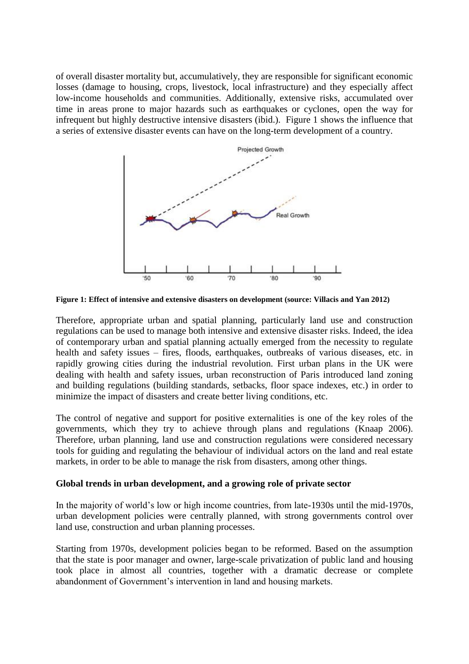of overall disaster mortality but, accumulatively, they are responsible for significant economic losses (damage to housing, crops, livestock, local infrastructure) and they especially affect low-income households and communities. Additionally, extensive risks, accumulated over time in areas prone to major hazards such as earthquakes or cyclones, open the way for infrequent but highly destructive intensive disasters (ibid.). Figure 1 shows the influence that a series of extensive disaster events can have on the long-term development of a country.



**Figure 1: Effect of intensive and extensive disasters on development (source: Villacis and Yan 2012)**

Therefore, appropriate urban and spatial planning, particularly land use and construction regulations can be used to manage both intensive and extensive disaster risks. Indeed, the idea of contemporary urban and spatial planning actually emerged from the necessity to regulate health and safety issues – fires, floods, earthquakes, outbreaks of various diseases, etc. in rapidly growing cities during the industrial revolution. First urban plans in the UK were dealing with health and safety issues, urban reconstruction of Paris introduced land zoning and building regulations (building standards, setbacks, floor space indexes, etc.) in order to minimize the impact of disasters and create better living conditions, etc.

The control of negative and support for positive externalities is one of the key roles of the governments, which they try to achieve through plans and regulations (Knaap 2006). Therefore, urban planning, land use and construction regulations were considered necessary tools for guiding and regulating the behaviour of individual actors on the land and real estate markets, in order to be able to manage the risk from disasters, among other things.

#### **Global trends in urban development, and a growing role of private sector**

In the majority of world's low or high income countries, from late-1930s until the mid-1970s, urban development policies were centrally planned, with strong governments control over land use, construction and urban planning processes.

Starting from 1970s, development policies began to be reformed. Based on the assumption that the state is poor manager and owner, large-scale privatization of public land and housing took place in almost all countries, together with a dramatic decrease or complete abandonment of Government's intervention in land and housing markets.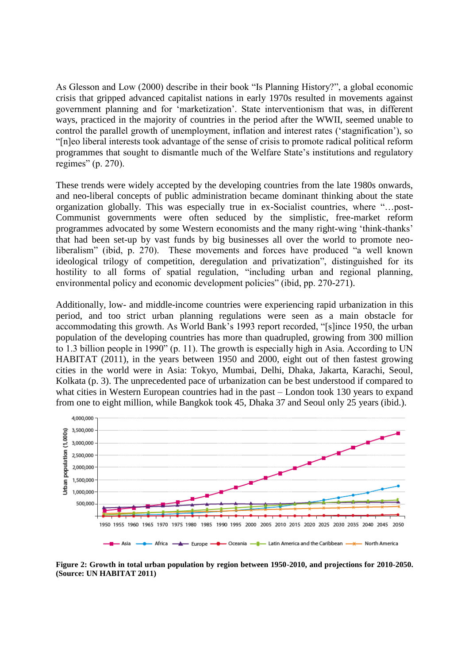As Glesson and Low (2000) describe in their book "Is Planning History?", a global economic crisis that gripped advanced capitalist nations in early 1970s resulted in movements against government planning and for 'marketization'. State interventionism that was, in different ways, practiced in the majority of countries in the period after the WWII, seemed unable to control the parallel growth of unemployment, inflation and interest rates ('stagnification'), so "[n]eo liberal interests took advantage of the sense of crisis to promote radical political reform programmes that sought to dismantle much of the Welfare State's institutions and regulatory regimes" (p. 270).

These trends were widely accepted by the developing countries from the late 1980s onwards, and neo-liberal concepts of public administration became dominant thinking about the state organization globally. This was especially true in ex-Socialist countries, where "…post-Communist governments were often seduced by the simplistic, free-market reform programmes advocated by some Western economists and the many right-wing 'think-thanks' that had been set-up by vast funds by big businesses all over the world to promote neoliberalism" (ibid, p. 270). These movements and forces have produced "a well known ideological trilogy of competition, deregulation and privatization", distinguished for its hostility to all forms of spatial regulation, "including urban and regional planning, environmental policy and economic development policies" (ibid, pp. 270-271).

Additionally, low- and middle-income countries were experiencing rapid urbanization in this period, and too strict urban planning regulations were seen as a main obstacle for accommodating this growth. As World Bank's 1993 report recorded, "[s]ince 1950, the urban population of the developing countries has more than quadrupled, growing from 300 million to 1.3 billion people in 1990" (p. 11). The growth is especially high in Asia. According to UN HABITAT (2011), in the years between 1950 and 2000, eight out of then fastest growing cities in the world were in Asia: Tokyo, Mumbai, Delhi, Dhaka, Jakarta, Karachi, Seoul, Kolkata (p. 3). The unprecedented pace of urbanization can be best understood if compared to what cities in Western European countries had in the past – London took 130 years to expand from one to eight million, while Bangkok took 45, Dhaka 37 and Seoul only 25 years (ibid.).



**Figure 2: Growth in total urban population by region between 1950-2010, and projections for 2010-2050. (Source: UN HABITAT 2011)**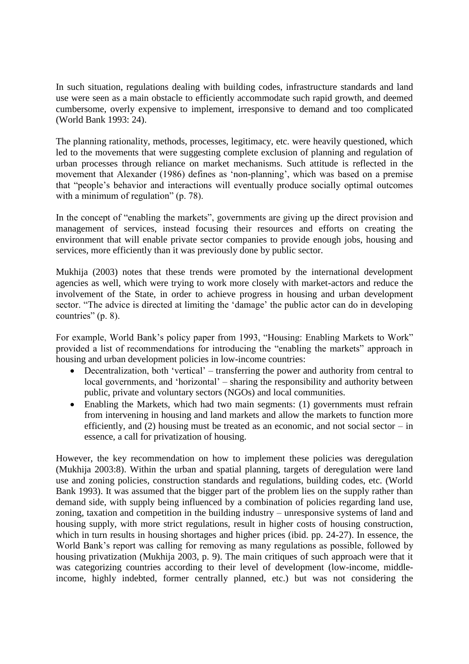In such situation, regulations dealing with building codes, infrastructure standards and land use were seen as a main obstacle to efficiently accommodate such rapid growth, and deemed cumbersome, overly expensive to implement, irresponsive to demand and too complicated (World Bank 1993: 24).

The planning rationality, methods, processes, legitimacy, etc. were heavily questioned, which led to the movements that were suggesting complete exclusion of planning and regulation of urban processes through reliance on market mechanisms. Such attitude is reflected in the movement that Alexander (1986) defines as 'non-planning', which was based on a premise that "people's behavior and interactions will eventually produce socially optimal outcomes with a minimum of regulation" (p. 78).

In the concept of "enabling the markets", governments are giving up the direct provision and management of services, instead focusing their resources and efforts on creating the environment that will enable private sector companies to provide enough jobs, housing and services, more efficiently than it was previously done by public sector.

Mukhija (2003) notes that these trends were promoted by the international development agencies as well, which were trying to work more closely with market-actors and reduce the involvement of the State, in order to achieve progress in housing and urban development sector. "The advice is directed at limiting the 'damage' the public actor can do in developing countries" (p. 8).

For example, World Bank's policy paper from 1993, "Housing: Enabling Markets to Work" provided a list of recommendations for introducing the "enabling the markets" approach in housing and urban development policies in low-income countries:

- Decentralization, both 'vertical' transferring the power and authority from central to local governments, and 'horizontal' – sharing the responsibility and authority between public, private and voluntary sectors (NGOs) and local communities.
- Enabling the Markets, which had two main segments: (1) governments must refrain from intervening in housing and land markets and allow the markets to function more efficiently, and (2) housing must be treated as an economic, and not social sector – in essence, a call for privatization of housing.

However, the key recommendation on how to implement these policies was deregulation (Mukhija 2003:8). Within the urban and spatial planning, targets of deregulation were land use and zoning policies, construction standards and regulations, building codes, etc. (World Bank 1993). It was assumed that the bigger part of the problem lies on the supply rather than demand side, with supply being influenced by a combination of policies regarding land use, zoning, taxation and competition in the building industry – unresponsive systems of land and housing supply, with more strict regulations, result in higher costs of housing construction, which in turn results in housing shortages and higher prices (ibid. pp. 24-27). In essence, the World Bank's report was calling for removing as many regulations as possible, followed by housing privatization (Mukhija 2003, p. 9). The main critiques of such approach were that it was categorizing countries according to their level of development (low-income, middleincome, highly indebted, former centrally planned, etc.) but was not considering the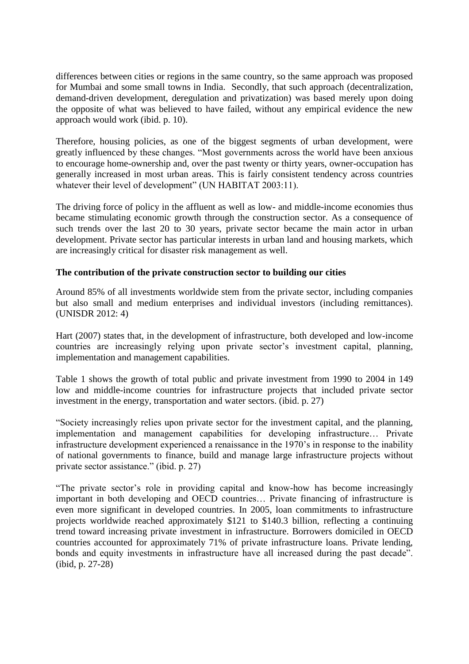differences between cities or regions in the same country, so the same approach was proposed for Mumbai and some small towns in India. Secondly, that such approach (decentralization, demand-driven development, deregulation and privatization) was based merely upon doing the opposite of what was believed to have failed, without any empirical evidence the new approach would work (ibid. p. 10).

Therefore, housing policies, as one of the biggest segments of urban development, were greatly influenced by these changes. "Most governments across the world have been anxious to encourage home-ownership and, over the past twenty or thirty years, owner-occupation has generally increased in most urban areas. This is fairly consistent tendency across countries whatever their level of development" (UN HABITAT 2003:11).

The driving force of policy in the affluent as well as low- and middle-income economies thus became stimulating economic growth through the construction sector. As a consequence of such trends over the last 20 to 30 years, private sector became the main actor in urban development. Private sector has particular interests in urban land and housing markets, which are increasingly critical for disaster risk management as well.

### **The contribution of the private construction sector to building our cities**

Around 85% of all investments worldwide stem from the private sector, including companies but also small and medium enterprises and individual investors (including remittances). (UNISDR 2012: 4)

Hart (2007) states that, in the development of infrastructure, both developed and low-income countries are increasingly relying upon private sector's investment capital, planning, implementation and management capabilities.

Table 1 shows the growth of total public and private investment from 1990 to 2004 in 149 low and middle-income countries for infrastructure projects that included private sector investment in the energy, transportation and water sectors. (ibid. p. 27)

"Society increasingly relies upon private sector for the investment capital, and the planning, implementation and management capabilities for developing infrastructure… Private infrastructure development experienced a renaissance in the 1970's in response to the inability of national governments to finance, build and manage large infrastructure projects without private sector assistance." (ibid. p. 27)

"The private sector's role in providing capital and know-how has become increasingly important in both developing and OECD countries… Private financing of infrastructure is even more significant in developed countries. In 2005, loan commitments to infrastructure projects worldwide reached approximately \$121 to \$140.3 billion, reflecting a continuing trend toward increasing private investment in infrastructure. Borrowers domiciled in OECD countries accounted for approximately 71% of private infrastructure loans. Private lending, bonds and equity investments in infrastructure have all increased during the past decade". (ibid, p. 27-28)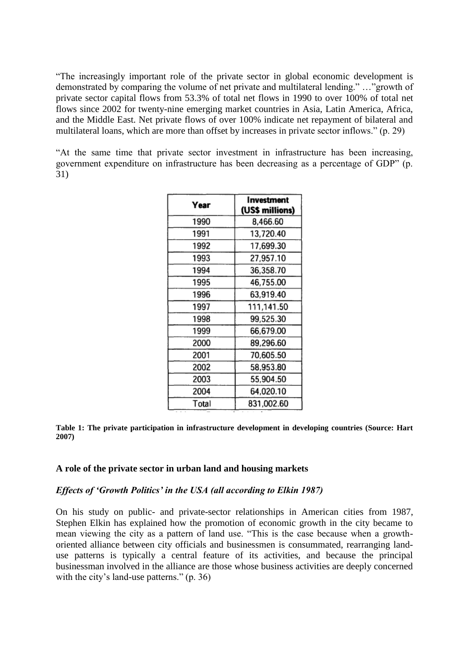"The increasingly important role of the private sector in global economic development is demonstrated by comparing the volume of net private and multilateral lending." …"growth of private sector capital flows from 53.3% of total net flows in 1990 to over 100% of total net flows since 2002 for twenty-nine emerging market countries in Asia, Latin America, Africa, and the Middle East. Net private flows of over 100% indicate net repayment of bilateral and multilateral loans, which are more than offset by increases in private sector inflows." (p. 29)

"At the same time that private sector investment in infrastructure has been increasing, government expenditure on infrastructure has been decreasing as a percentage of GDP" (p. 31)

| Year  | <b>Investment</b><br>(US\$ millions) |  |  |  |  |
|-------|--------------------------------------|--|--|--|--|
| 1990  | 8,466.60                             |  |  |  |  |
| 1991  | 13,720.40                            |  |  |  |  |
| 1992  | 17,699.30                            |  |  |  |  |
| 1993  | 27,957.10                            |  |  |  |  |
| 1994  | 36,358.70                            |  |  |  |  |
| 1995  | 46,755.00                            |  |  |  |  |
| 1996  | 63,919.40                            |  |  |  |  |
| 1997  | 111,141.50                           |  |  |  |  |
| 1998  | 99,525.30                            |  |  |  |  |
| 1999  | 66,679.00                            |  |  |  |  |
| 2000  | 89,296.60                            |  |  |  |  |
| 2001  | 70,605.50                            |  |  |  |  |
| 2002  | 58,953.80                            |  |  |  |  |
| 2003  | 55,904.50                            |  |  |  |  |
| 2004  | 64,020.10                            |  |  |  |  |
| Total | 831,002.60                           |  |  |  |  |

|       |  |  | Table 1: The private participation in infrastructure development in developing countries (Source: Hart |  |  |  |
|-------|--|--|--------------------------------------------------------------------------------------------------------|--|--|--|
| 2007) |  |  |                                                                                                        |  |  |  |

#### **A role of the private sector in urban land and housing markets**

#### *Effects of 'Growth Politics' in the USA (all according to Elkin 1987)*

On his study on public- and private-sector relationships in American cities from 1987, Stephen Elkin has explained how the promotion of economic growth in the city became to mean viewing the city as a pattern of land use. "This is the case because when a growthoriented alliance between city officials and businessmen is consummated, rearranging landuse patterns is typically a central feature of its activities, and because the principal businessman involved in the alliance are those whose business activities are deeply concerned with the city's land-use patterns." (p. 36)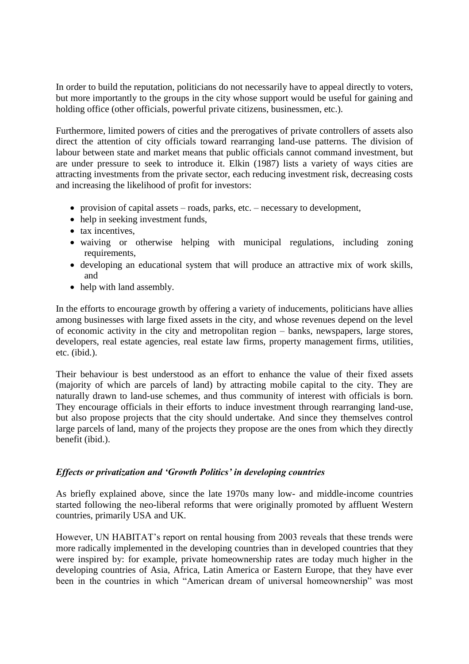In order to build the reputation, politicians do not necessarily have to appeal directly to voters, but more importantly to the groups in the city whose support would be useful for gaining and holding office (other officials, powerful private citizens, businessmen, etc.).

Furthermore, limited powers of cities and the prerogatives of private controllers of assets also direct the attention of city officials toward rearranging land-use patterns. The division of labour between state and market means that public officials cannot command investment, but are under pressure to seek to introduce it. Elkin (1987) lists a variety of ways cities are attracting investments from the private sector, each reducing investment risk, decreasing costs and increasing the likelihood of profit for investors:

- provision of capital assets roads, parks, etc. necessary to development,
- help in seeking investment funds,
- tax incentives,
- waiving or otherwise helping with municipal regulations, including zoning requirements,
- developing an educational system that will produce an attractive mix of work skills, and
- help with land assembly.

In the efforts to encourage growth by offering a variety of inducements, politicians have allies among businesses with large fixed assets in the city, and whose revenues depend on the level of economic activity in the city and metropolitan region – banks, newspapers, large stores, developers, real estate agencies, real estate law firms, property management firms, utilities, etc. (ibid.).

Their behaviour is best understood as an effort to enhance the value of their fixed assets (majority of which are parcels of land) by attracting mobile capital to the city. They are naturally drawn to land-use schemes, and thus community of interest with officials is born. They encourage officials in their efforts to induce investment through rearranging land-use, but also propose projects that the city should undertake. And since they themselves control large parcels of land, many of the projects they propose are the ones from which they directly benefit (ibid.).

### *Effects or privatization and 'Growth Politics' in developing countries*

As briefly explained above, since the late 1970s many low- and middle-income countries started following the neo-liberal reforms that were originally promoted by affluent Western countries, primarily USA and UK.

However, UN HABITAT's report on rental housing from 2003 reveals that these trends were more radically implemented in the developing countries than in developed countries that they were inspired by: for example, private homeownership rates are today much higher in the developing countries of Asia, Africa, Latin America or Eastern Europe, that they have ever been in the countries in which "American dream of universal homeownership" was most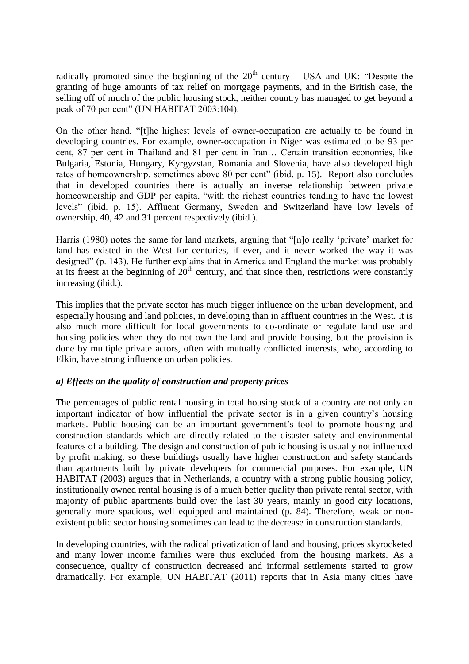radically promoted since the beginning of the  $20<sup>th</sup>$  century – USA and UK: "Despite the granting of huge amounts of tax relief on mortgage payments, and in the British case, the selling off of much of the public housing stock, neither country has managed to get beyond a peak of 70 per cent" (UN HABITAT 2003:104).

On the other hand, "[t]he highest levels of owner-occupation are actually to be found in developing countries. For example, owner-occupation in Niger was estimated to be 93 per cent, 87 per cent in Thailand and 81 per cent in Iran… Certain transition economies, like Bulgaria, Estonia, Hungary, Kyrgyzstan, Romania and Slovenia, have also developed high rates of homeownership, sometimes above 80 per cent" (ibid. p. 15). Report also concludes that in developed countries there is actually an inverse relationship between private homeownership and GDP per capita, "with the richest countries tending to have the lowest levels" (ibid. p. 15). Affluent Germany, Sweden and Switzerland have low levels of ownership, 40, 42 and 31 percent respectively (ibid.).

Harris (1980) notes the same for land markets, arguing that "[n]o really 'private' market for land has existed in the West for centuries, if ever, and it never worked the way it was designed" (p. 143). He further explains that in America and England the market was probably at its freest at the beginning of  $20<sup>th</sup>$  century, and that since then, restrictions were constantly increasing (ibid.).

This implies that the private sector has much bigger influence on the urban development, and especially housing and land policies, in developing than in affluent countries in the West. It is also much more difficult for local governments to co-ordinate or regulate land use and housing policies when they do not own the land and provide housing, but the provision is done by multiple private actors, often with mutually conflicted interests, who, according to Elkin, have strong influence on urban policies.

### *a) Effects on the quality of construction and property prices*

The percentages of public rental housing in total housing stock of a country are not only an important indicator of how influential the private sector is in a given country's housing markets. Public housing can be an important government's tool to promote housing and construction standards which are directly related to the disaster safety and environmental features of a building. The design and construction of public housing is usually not influenced by profit making, so these buildings usually have higher construction and safety standards than apartments built by private developers for commercial purposes. For example, UN HABITAT (2003) argues that in Netherlands, a country with a strong public housing policy, institutionally owned rental housing is of a much better quality than private rental sector, with majority of public apartments build over the last 30 years, mainly in good city locations, generally more spacious, well equipped and maintained (p. 84). Therefore, weak or nonexistent public sector housing sometimes can lead to the decrease in construction standards.

In developing countries, with the radical privatization of land and housing, prices skyrocketed and many lower income families were thus excluded from the housing markets. As a consequence, quality of construction decreased and informal settlements started to grow dramatically. For example, UN HABITAT (2011) reports that in Asia many cities have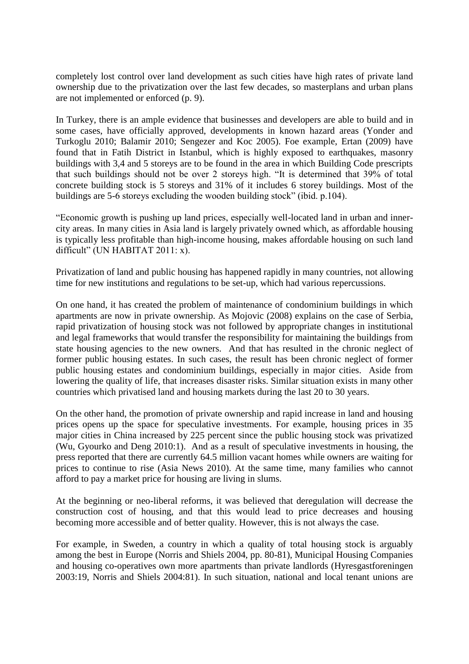completely lost control over land development as such cities have high rates of private land ownership due to the privatization over the last few decades, so masterplans and urban plans are not implemented or enforced (p. 9).

In Turkey, there is an ample evidence that businesses and developers are able to build and in some cases, have officially approved, developments in known hazard areas (Yonder and Turkoglu 2010; Balamir 2010; Sengezer and Koc 2005). Foe example, Ertan (2009) have found that in Fatih District in Istanbul, which is highly exposed to earthquakes, masonry buildings with 3,4 and 5 storeys are to be found in the area in which Building Code prescripts that such buildings should not be over 2 storeys high. "It is determined that 39% of total concrete building stock is 5 storeys and 31% of it includes 6 storey buildings. Most of the buildings are 5-6 storeys excluding the wooden building stock" (ibid. p.104).

"Economic growth is pushing up land prices, especially well-located land in urban and innercity areas. In many cities in Asia land is largely privately owned which, as affordable housing is typically less profitable than high-income housing, makes affordable housing on such land difficult" (UN HABITAT 2011: x).

Privatization of land and public housing has happened rapidly in many countries, not allowing time for new institutions and regulations to be set-up, which had various repercussions.

On one hand, it has created the problem of maintenance of condominium buildings in which apartments are now in private ownership. As Mojovic (2008) explains on the case of Serbia, rapid privatization of housing stock was not followed by appropriate changes in institutional and legal frameworks that would transfer the responsibility for maintaining the buildings from state housing agencies to the new owners. And that has resulted in the chronic neglect of former public housing estates. In such cases, the result has been chronic neglect of former public housing estates and condominium buildings, especially in major cities. Aside from lowering the quality of life, that increases disaster risks. Similar situation exists in many other countries which privatised land and housing markets during the last 20 to 30 years.

On the other hand, the promotion of private ownership and rapid increase in land and housing prices opens up the space for speculative investments. For example, housing prices in 35 major cities in China increased by 225 percent since the public housing stock was privatized (Wu, Gyourko and Deng 2010:1). And as a result of speculative investments in housing, the press reported that there are currently 64.5 million vacant homes while owners are waiting for prices to continue to rise (Asia News 2010). At the same time, many families who cannot afford to pay a market price for housing are living in slums.

At the beginning or neo-liberal reforms, it was believed that deregulation will decrease the construction cost of housing, and that this would lead to price decreases and housing becoming more accessible and of better quality. However, this is not always the case.

For example, in Sweden, a country in which a quality of total housing stock is arguably among the best in Europe (Norris and Shiels 2004, pp. 80-81), Municipal Housing Companies and housing co-operatives own more apartments than private landlords (Hyresgastforeningen 2003:19, Norris and Shiels 2004:81). In such situation, national and local tenant unions are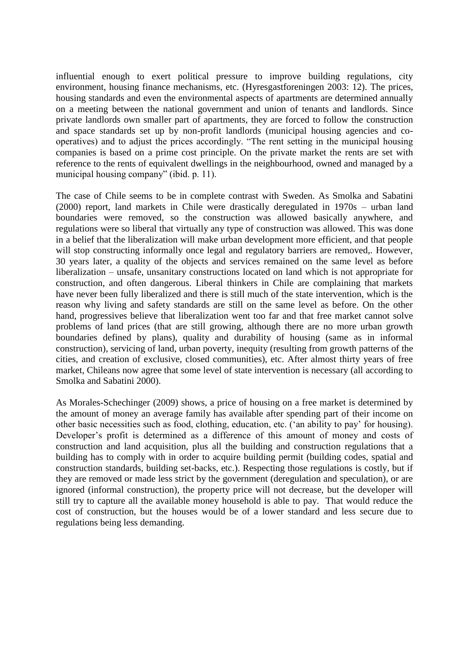influential enough to exert political pressure to improve building regulations, city environment, housing finance mechanisms, etc. (Hyresgastforeningen 2003: 12). The prices, housing standards and even the environmental aspects of apartments are determined annually on a meeting between the national government and union of tenants and landlords. Since private landlords own smaller part of apartments, they are forced to follow the construction and space standards set up by non-profit landlords (municipal housing agencies and cooperatives) and to adjust the prices accordingly. "The rent setting in the municipal housing companies is based on a prime cost principle. On the private market the rents are set with reference to the rents of equivalent dwellings in the neighbourhood, owned and managed by a municipal housing company" (ibid. p. 11).

The case of Chile seems to be in complete contrast with Sweden. As Smolka and Sabatini (2000) report, land markets in Chile were drastically deregulated in 1970s – urban land boundaries were removed, so the construction was allowed basically anywhere, and regulations were so liberal that virtually any type of construction was allowed. This was done in a belief that the liberalization will make urban development more efficient, and that people will stop constructing informally once legal and regulatory barriers are removed,. However, 30 years later, a quality of the objects and services remained on the same level as before liberalization – unsafe, unsanitary constructions located on land which is not appropriate for construction, and often dangerous. Liberal thinkers in Chile are complaining that markets have never been fully liberalized and there is still much of the state intervention, which is the reason why living and safety standards are still on the same level as before. On the other hand, progressives believe that liberalization went too far and that free market cannot solve problems of land prices (that are still growing, although there are no more urban growth boundaries defined by plans), quality and durability of housing (same as in informal construction), servicing of land, urban poverty, inequity (resulting from growth patterns of the cities, and creation of exclusive, closed communities), etc. After almost thirty years of free market, Chileans now agree that some level of state intervention is necessary (all according to Smolka and Sabatini 2000).

As Morales-Schechinger (2009) shows, a price of housing on a free market is determined by the amount of money an average family has available after spending part of their income on other basic necessities such as food, clothing, education, etc. ('an ability to pay' for housing). Developer's profit is determined as a difference of this amount of money and costs of construction and land acquisition, plus all the building and construction regulations that a building has to comply with in order to acquire building permit (building codes, spatial and construction standards, building set-backs, etc.). Respecting those regulations is costly, but if they are removed or made less strict by the government (deregulation and speculation), or are ignored (informal construction), the property price will not decrease, but the developer will still try to capture all the available money household is able to pay. That would reduce the cost of construction, but the houses would be of a lower standard and less secure due to regulations being less demanding.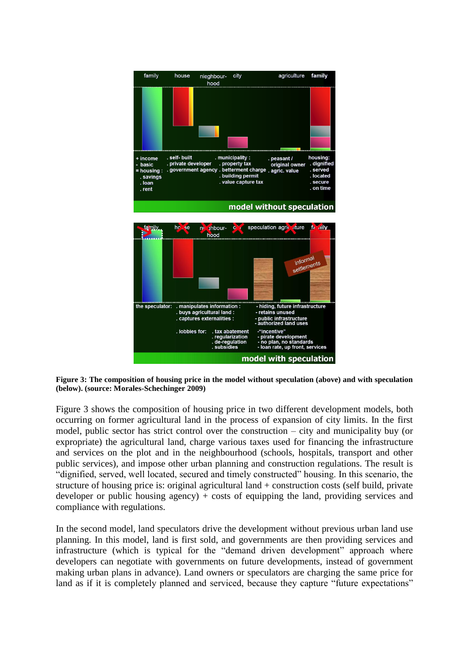

**Figure 3: The composition of housing price in the model without speculation (above) and with speculation (below). (source: Morales-Schechinger 2009)** 

Figure 3 shows the composition of housing price in two different development models, both occurring on former agricultural land in the process of expansion of city limits. In the first model, public sector has strict control over the construction – city and municipality buy (or expropriate) the agricultural land, charge various taxes used for financing the infrastructure and services on the plot and in the neighbourhood (schools, hospitals, transport and other public services), and impose other urban planning and construction regulations. The result is "dignified, served, well located, secured and timely constructed" housing. In this scenario, the structure of housing price is: original agricultural land + construction costs (self build, private developer or public housing agency) + costs of equipping the land, providing services and compliance with regulations.

In the second model, land speculators drive the development without previous urban land use planning. In this model, land is first sold, and governments are then providing services and infrastructure (which is typical for the "demand driven development" approach where developers can negotiate with governments on future developments, instead of government making urban plans in advance). Land owners or speculators are charging the same price for land as if it is completely planned and serviced, because they capture "future expectations"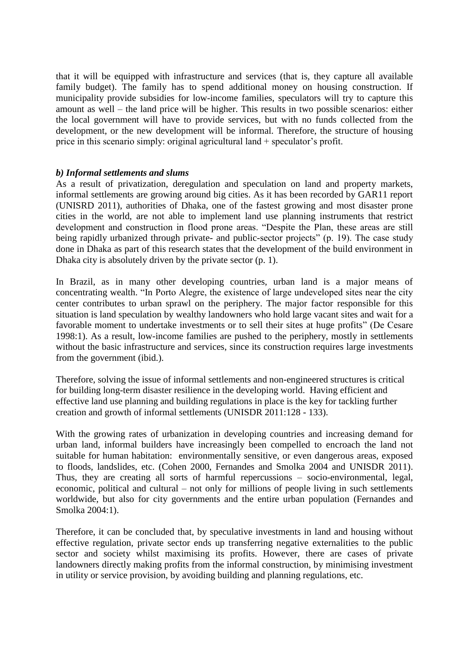that it will be equipped with infrastructure and services (that is, they capture all available family budget). The family has to spend additional money on housing construction. If municipality provide subsidies for low-income families, speculators will try to capture this amount as well – the land price will be higher. This results in two possible scenarios: either the local government will have to provide services, but with no funds collected from the development, or the new development will be informal. Therefore, the structure of housing price in this scenario simply: original agricultural land + speculator's profit.

#### *b) Informal settlements and slums*

As a result of privatization, deregulation and speculation on land and property markets, informal settlements are growing around big cities. As it has been recorded by GAR11 report (UNISRD 2011), authorities of Dhaka, one of the fastest growing and most disaster prone cities in the world, are not able to implement land use planning instruments that restrict development and construction in flood prone areas. "Despite the Plan, these areas are still being rapidly urbanized through private- and public-sector projects" (p. 19). The case study done in Dhaka as part of this research states that the development of the build environment in Dhaka city is absolutely driven by the private sector (p. 1).

In Brazil, as in many other developing countries, urban land is a major means of concentrating wealth. "In Porto Alegre, the existence of large undeveloped sites near the city center contributes to urban sprawl on the periphery. The major factor responsible for this situation is land speculation by wealthy landowners who hold large vacant sites and wait for a favorable moment to undertake investments or to sell their sites at huge profits" (De Cesare 1998:1). As a result, low-income families are pushed to the periphery, mostly in settlements without the basic infrastructure and services, since its construction requires large investments from the government (ibid.).

Therefore, solving the issue of informal settlements and non-engineered structures is critical for building long-term disaster resilience in the developing world. Having efficient and effective land use planning and building regulations in place is the key for tackling further creation and growth of informal settlements (UNISDR 2011:128 - 133).

With the growing rates of urbanization in developing countries and increasing demand for urban land, informal builders have increasingly been compelled to encroach the land not suitable for human habitation: environmentally sensitive, or even dangerous areas, exposed to floods, landslides, etc. (Cohen 2000, Fernandes and Smolka 2004 and UNISDR 2011). Thus, they are creating all sorts of harmful repercussions – socio-environmental, legal, economic, political and cultural – not only for millions of people living in such settlements worldwide, but also for city governments and the entire urban population (Fernandes and Smolka 2004:1).

Therefore, it can be concluded that, by speculative investments in land and housing without effective regulation, private sector ends up transferring negative externalities to the public sector and society whilst maximising its profits. However, there are cases of private landowners directly making profits from the informal construction, by minimising investment in utility or service provision, by avoiding building and planning regulations, etc.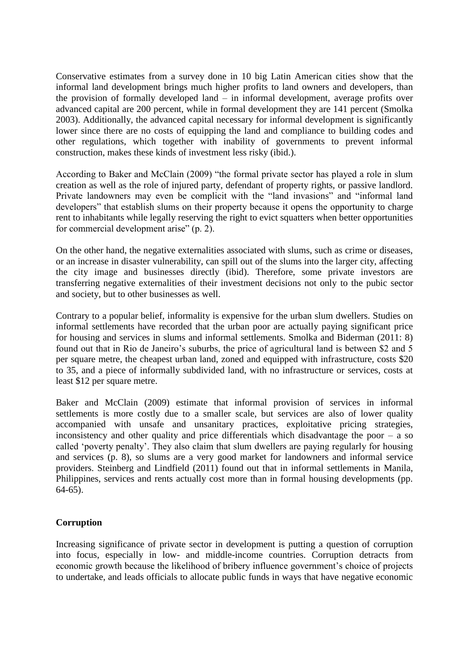Conservative estimates from a survey done in 10 big Latin American cities show that the informal land development brings much higher profits to land owners and developers, than the provision of formally developed land – in informal development, average profits over advanced capital are 200 percent, while in formal development they are 141 percent (Smolka 2003). Additionally, the advanced capital necessary for informal development is significantly lower since there are no costs of equipping the land and compliance to building codes and other regulations, which together with inability of governments to prevent informal construction, makes these kinds of investment less risky (ibid.).

According to Baker and McClain (2009) "the formal private sector has played a role in slum creation as well as the role of injured party, defendant of property rights, or passive landlord. Private landowners may even be complicit with the "land invasions" and "informal land developers" that establish slums on their property because it opens the opportunity to charge rent to inhabitants while legally reserving the right to evict squatters when better opportunities for commercial development arise" (p. 2).

On the other hand, the negative externalities associated with slums, such as crime or diseases, or an increase in disaster vulnerability, can spill out of the slums into the larger city, affecting the city image and businesses directly (ibid). Therefore, some private investors are transferring negative externalities of their investment decisions not only to the pubic sector and society, but to other businesses as well.

Contrary to a popular belief, informality is expensive for the urban slum dwellers. Studies on informal settlements have recorded that the urban poor are actually paying significant price for housing and services in slums and informal settlements. Smolka and Biderman (2011: 8) found out that in Rio de Janeiro's suburbs, the price of agricultural land is between \$2 and 5 per square metre, the cheapest urban land, zoned and equipped with infrastructure, costs \$20 to 35, and a piece of informally subdivided land, with no infrastructure or services, costs at least \$12 per square metre.

Baker and McClain (2009) estimate that informal provision of services in informal settlements is more costly due to a smaller scale, but services are also of lower quality accompanied with unsafe and unsanitary practices, exploitative pricing strategies, inconsistency and other quality and price differentials which disadvantage the poor  $-$  a so called 'poverty penalty'. They also claim that slum dwellers are paying regularly for housing and services (p. 8), so slums are a very good market for landowners and informal service providers. Steinberg and Lindfield (2011) found out that in informal settlements in Manila, Philippines, services and rents actually cost more than in formal housing developments (pp. 64-65).

### **Corruption**

Increasing significance of private sector in development is putting a question of corruption into focus, especially in low- and middle-income countries. Corruption detracts from economic growth because the likelihood of bribery influence government's choice of projects to undertake, and leads officials to allocate public funds in ways that have negative economic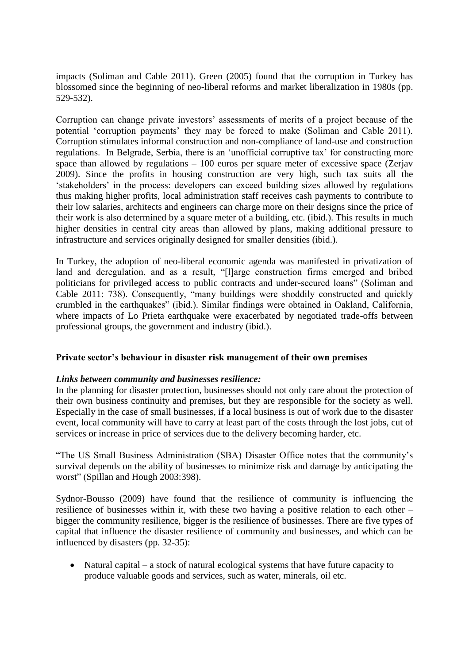impacts (Soliman and Cable 2011). Green (2005) found that the corruption in Turkey has blossomed since the beginning of neo-liberal reforms and market liberalization in 1980s (pp. 529-532).

Corruption can change private investors' assessments of merits of a project because of the potential 'corruption payments' they may be forced to make (Soliman and Cable 2011). Corruption stimulates informal construction and non-compliance of land-use and construction regulations. In Belgrade, Serbia, there is an 'unofficial corruptive tax' for constructing more space than allowed by regulations – 100 euros per square meter of excessive space (Zerjav 2009). Since the profits in housing construction are very high, such tax suits all the 'stakeholders' in the process: developers can exceed building sizes allowed by regulations thus making higher profits, local administration staff receives cash payments to contribute to their low salaries, architects and engineers can charge more on their designs since the price of their work is also determined by a square meter of a building, etc. (ibid.). This results in much higher densities in central city areas than allowed by plans, making additional pressure to infrastructure and services originally designed for smaller densities (ibid.).

In Turkey, the adoption of neo-liberal economic agenda was manifested in privatization of land and deregulation, and as a result, "[l]arge construction firms emerged and bribed politicians for privileged access to public contracts and under-secured loans" (Soliman and Cable 2011: 738). Consequently, "many buildings were shoddily constructed and quickly crumbled in the earthquakes" (ibid.). Similar findings were obtained in Oakland, California, where impacts of Lo Prieta earthquake were exacerbated by negotiated trade-offs between professional groups, the government and industry (ibid.).

#### **Private sector's behaviour in disaster risk management of their own premises**

#### *Links between community and businesses resilience:*

In the planning for disaster protection, businesses should not only care about the protection of their own business continuity and premises, but they are responsible for the society as well. Especially in the case of small businesses, if a local business is out of work due to the disaster event, local community will have to carry at least part of the costs through the lost jobs, cut of services or increase in price of services due to the delivery becoming harder, etc.

"The US Small Business Administration (SBA) Disaster Office notes that the community's survival depends on the ability of businesses to minimize risk and damage by anticipating the worst" (Spillan and Hough 2003:398).

Sydnor-Bousso (2009) have found that the resilience of community is influencing the resilience of businesses within it, with these two having a positive relation to each other – bigger the community resilience, bigger is the resilience of businesses. There are five types of capital that influence the disaster resilience of community and businesses, and which can be influenced by disasters (pp. 32-35):

• Natural capital – a stock of natural ecological systems that have future capacity to produce valuable goods and services, such as water, minerals, oil etc.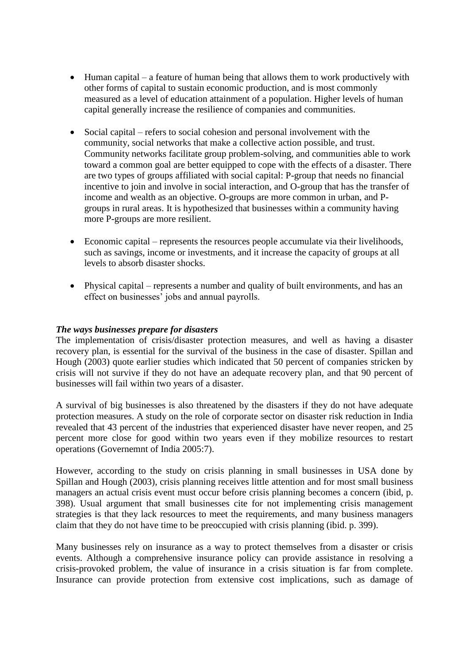- Human capital a feature of human being that allows them to work productively with other forms of capital to sustain economic production, and is most commonly measured as a level of education attainment of a population. Higher levels of human capital generally increase the resilience of companies and communities.
- Social capital refers to social cohesion and personal involvement with the community, social networks that make a collective action possible, and trust. Community networks facilitate group problem-solving, and communities able to work toward a common goal are better equipped to cope with the effects of a disaster. There are two types of groups affiliated with social capital: P-group that needs no financial incentive to join and involve in social interaction, and O-group that has the transfer of income and wealth as an objective. O-groups are more common in urban, and Pgroups in rural areas. It is hypothesized that businesses within a community having more P-groups are more resilient.
- Economic capital represents the resources people accumulate via their livelihoods, such as savings, income or investments, and it increase the capacity of groups at all levels to absorb disaster shocks.
- Physical capital represents a number and quality of built environments, and has an effect on businesses' jobs and annual payrolls.

#### *The ways businesses prepare for disasters*

The implementation of crisis/disaster protection measures, and well as having a disaster recovery plan, is essential for the survival of the business in the case of disaster. Spillan and Hough (2003) quote earlier studies which indicated that 50 percent of companies stricken by crisis will not survive if they do not have an adequate recovery plan, and that 90 percent of businesses will fail within two years of a disaster.

A survival of big businesses is also threatened by the disasters if they do not have adequate protection measures. A study on the role of corporate sector on disaster risk reduction in India revealed that 43 percent of the industries that experienced disaster have never reopen, and 25 percent more close for good within two years even if they mobilize resources to restart operations (Governemnt of India 2005:7).

However, according to the study on crisis planning in small businesses in USA done by Spillan and Hough (2003), crisis planning receives little attention and for most small business managers an actual crisis event must occur before crisis planning becomes a concern (ibid, p. 398). Usual argument that small businesses cite for not implementing crisis management strategies is that they lack resources to meet the requirements, and many business managers claim that they do not have time to be preoccupied with crisis planning (ibid. p. 399).

Many businesses rely on insurance as a way to protect themselves from a disaster or crisis events. Although a comprehensive insurance policy can provide assistance in resolving a crisis-provoked problem, the value of insurance in a crisis situation is far from complete. Insurance can provide protection from extensive cost implications, such as damage of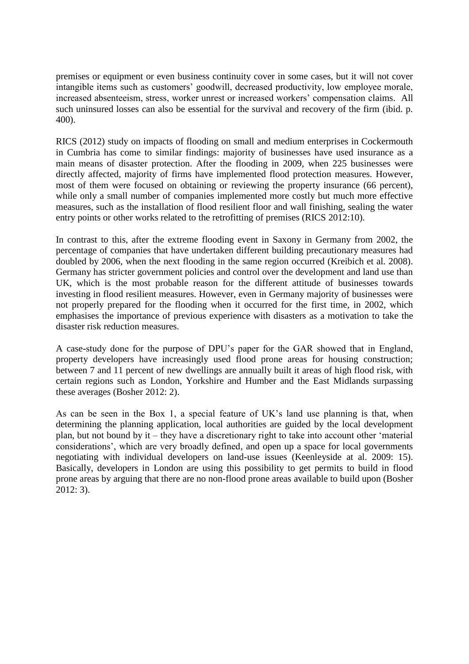premises or equipment or even business continuity cover in some cases, but it will not cover intangible items such as customers' goodwill, decreased productivity, low employee morale, increased absenteeism, stress, worker unrest or increased workers' compensation claims. All such uninsured losses can also be essential for the survival and recovery of the firm (ibid. p. 400).

RICS (2012) study on impacts of flooding on small and medium enterprises in Cockermouth in Cumbria has come to similar findings: majority of businesses have used insurance as a main means of disaster protection. After the flooding in 2009, when 225 businesses were directly affected, majority of firms have implemented flood protection measures. However, most of them were focused on obtaining or reviewing the property insurance (66 percent), while only a small number of companies implemented more costly but much more effective measures, such as the installation of flood resilient floor and wall finishing, sealing the water entry points or other works related to the retrofitting of premises (RICS 2012:10).

In contrast to this, after the extreme flooding event in Saxony in Germany from 2002, the percentage of companies that have undertaken different building precautionary measures had doubled by 2006, when the next flooding in the same region occurred (Kreibich et al. 2008). Germany has stricter government policies and control over the development and land use than UK, which is the most probable reason for the different attitude of businesses towards investing in flood resilient measures. However, even in Germany majority of businesses were not properly prepared for the flooding when it occurred for the first time, in 2002, which emphasises the importance of previous experience with disasters as a motivation to take the disaster risk reduction measures.

A case-study done for the purpose of DPU's paper for the GAR showed that in England, property developers have increasingly used flood prone areas for housing construction; between 7 and 11 percent of new dwellings are annually built it areas of high flood risk, with certain regions such as London, Yorkshire and Humber and the East Midlands surpassing these averages (Bosher 2012: 2).

As can be seen in the Box 1, a special feature of UK's land use planning is that, when determining the planning application, local authorities are guided by the local development plan, but not bound by it – they have a discretionary right to take into account other 'material considerations', which are very broadly defined, and open up a space for local governments negotiating with individual developers on land-use issues (Keenleyside at al. 2009: 15). Basically, developers in London are using this possibility to get permits to build in flood prone areas by arguing that there are no non-flood prone areas available to build upon (Bosher 2012: 3).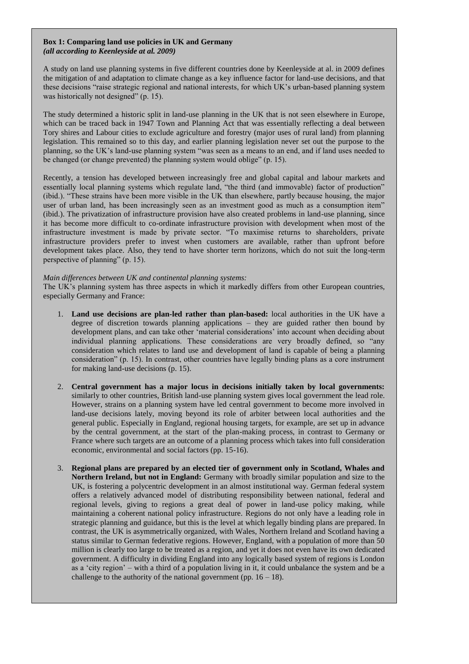#### **Box 1: Comparing land use policies in UK and Germany** *(all according to Keenleyside at al. 2009)*

A study on land use planning systems in five different countries done by Keenleyside at al. in 2009 defines the mitigation of and adaptation to climate change as a key influence factor for land-use decisions, and that these decisions "raise strategic regional and national interests, for which UK's urban-based planning system was historically not designed" (p. 15).

The study determined a historic split in land-use planning in the UK that is not seen elsewhere in Europe, which can be traced back in 1947 Town and Planning Act that was essentially reflecting a deal between Tory shires and Labour cities to exclude agriculture and forestry (major uses of rural land) from planning legislation. This remained so to this day, and earlier planning legislation never set out the purpose to the planning, so the UK's land-use planning system "was seen as a means to an end, and if land uses needed to be changed (or change prevented) the planning system would oblige" (p. 15).

Recently, a tension has developed between increasingly free and global capital and labour markets and essentially local planning systems which regulate land, "the third (and immovable) factor of production" (ibid.). "These strains have been more visible in the UK than elsewhere, partly because housing, the major user of urban land, has been increasingly seen as an investment good as much as a consumption item" (ibid.). The privatization of infrastructure provision have also created problems in land-use planning, since it has become more difficult to co-ordinate infrastructure provision with development when most of the infrastructure investment is made by private sector. "To maximise returns to shareholders, private infrastructure providers prefer to invest when customers are available, rather than upfront before development takes place. Also, they tend to have shorter term horizons, which do not suit the long-term perspective of planning" (p. 15).

#### *Main differences between UK and continental planning systems:*

The UK's planning system has three aspects in which it markedly differs from other European countries, especially Germany and France:

- 1. **Land use decisions are plan-led rather than plan-based:** local authorities in the UK have a degree of discretion towards planning applications – they are guided rather then bound by development plans, and can take other 'material considerations' into account when deciding about individual planning applications. These considerations are very broadly defined, so "any consideration which relates to land use and development of land is capable of being a planning consideration" (p. 15). In contrast, other countries have legally binding plans as a core instrument for making land-use decisions (p. 15).
- 2. **Central government has a major locus in decisions initially taken by local governments:** similarly to other countries, British land-use planning system gives local government the lead role. However, strains on a planning system have led central government to become more involved in land-use decisions lately, moving beyond its role of arbiter between local authorities and the general public. Especially in England, regional housing targets, for example, are set up in advance by the central government, at the start of the plan-making process, in contrast to Germany or France where such targets are an outcome of a planning process which takes into full consideration economic, environmental and social factors (pp. 15-16).
- 3. **Regional plans are prepared by an elected tier of government only in Scotland, Whales and Northern Ireland, but not in England:** Germany with broadly similar population and size to the UK, is fostering a polycentric development in an almost institutional way. German federal system offers a relatively advanced model of distributing responsibility between national, federal and regional levels, giving to regions a great deal of power in land-use policy making, while maintaining a coherent national policy infrastructure. Regions do not only have a leading role in strategic planning and guidance, but this is the level at which legally binding plans are prepared. In contrast, the UK is asymmetrically organized, with Wales, Northern Ireland and Scotland having a status similar to German federative regions. However, England, with a population of more than 50 million is clearly too large to be treated as a region, and yet it does not even have its own dedicated government. A difficulty in dividing England into any logically based system of regions is London as a 'city region' – with a third of a population living in it, it could unbalance the system and be a challenge to the authority of the national government (pp.  $16 - 18$ ).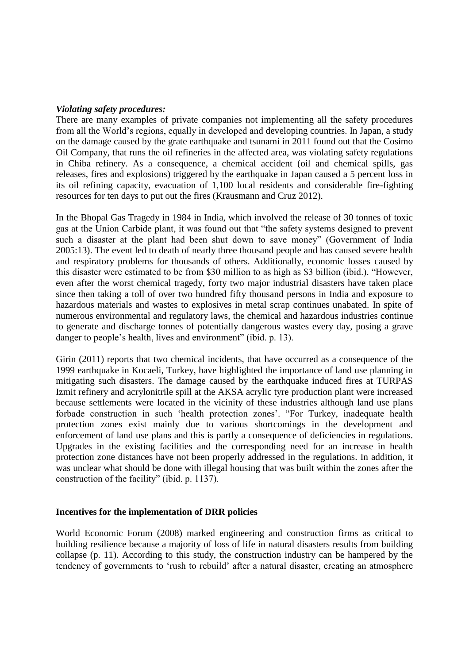#### *Violating safety procedures:*

There are many examples of private companies not implementing all the safety procedures from all the World's regions, equally in developed and developing countries. In Japan, a study on the damage caused by the grate earthquake and tsunami in 2011 found out that the Cosimo Oil Company, that runs the oil refineries in the affected area, was violating safety regulations in Chiba refinery. As a consequence, a chemical accident (oil and chemical spills, gas releases, fires and explosions) triggered by the earthquake in Japan caused a 5 percent loss in its oil refining capacity, evacuation of 1,100 local residents and considerable fire-fighting resources for ten days to put out the fires (Krausmann and Cruz 2012).

In the Bhopal Gas Tragedy in 1984 in India, which involved the release of 30 tonnes of toxic gas at the Union Carbide plant, it was found out that "the safety systems designed to prevent such a disaster at the plant had been shut down to save money" (Government of India 2005:13). The event led to death of nearly three thousand people and has caused severe health and respiratory problems for thousands of others. Additionally, economic losses caused by this disaster were estimated to be from \$30 million to as high as \$3 billion (ibid.). "However, even after the worst chemical tragedy, forty two major industrial disasters have taken place since then taking a toll of over two hundred fifty thousand persons in India and exposure to hazardous materials and wastes to explosives in metal scrap continues unabated. In spite of numerous environmental and regulatory laws, the chemical and hazardous industries continue to generate and discharge tonnes of potentially dangerous wastes every day, posing a grave danger to people's health, lives and environment" (ibid. p. 13).

Girin (2011) reports that two chemical incidents, that have occurred as a consequence of the 1999 earthquake in Kocaeli, Turkey, have highlighted the importance of land use planning in mitigating such disasters. The damage caused by the earthquake induced fires at TURPAS Izmit refinery and acrylonitrile spill at the AKSA acrylic tyre production plant were increased because settlements were located in the vicinity of these industries although land use plans forbade construction in such 'health protection zones'. "For Turkey, inadequate health protection zones exist mainly due to various shortcomings in the development and enforcement of land use plans and this is partly a consequence of deficiencies in regulations. Upgrades in the existing facilities and the corresponding need for an increase in health protection zone distances have not been properly addressed in the regulations. In addition, it was unclear what should be done with illegal housing that was built within the zones after the construction of the facility" (ibid. p. 1137).

#### **Incentives for the implementation of DRR policies**

World Economic Forum (2008) marked engineering and construction firms as critical to building resilience because a majority of loss of life in natural disasters results from building collapse (p. 11). According to this study, the construction industry can be hampered by the tendency of governments to 'rush to rebuild' after a natural disaster, creating an atmosphere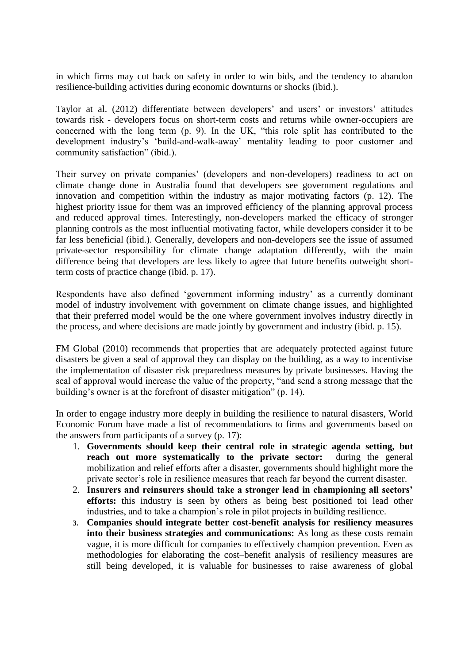in which firms may cut back on safety in order to win bids, and the tendency to abandon resilience-building activities during economic downturns or shocks (ibid.).

Taylor at al. (2012) differentiate between developers' and users' or investors' attitudes towards risk - developers focus on short-term costs and returns while owner-occupiers are concerned with the long term (p. 9). In the UK, "this role split has contributed to the development industry's 'build-and-walk-away' mentality leading to poor customer and community satisfaction" (ibid.).

Their survey on private companies' (developers and non-developers) readiness to act on climate change done in Australia found that developers see government regulations and innovation and competition within the industry as major motivating factors (p. 12). The highest priority issue for them was an improved efficiency of the planning approval process and reduced approval times. Interestingly, non-developers marked the efficacy of stronger planning controls as the most influential motivating factor, while developers consider it to be far less beneficial (ibid.). Generally, developers and non-developers see the issue of assumed private-sector responsibility for climate change adaptation differently, with the main difference being that developers are less likely to agree that future benefits outweight shortterm costs of practice change (ibid. p. 17).

Respondents have also defined 'government informing industry' as a currently dominant model of industry involvement with government on climate change issues, and highlighted that their preferred model would be the one where government involves industry directly in the process, and where decisions are made jointly by government and industry (ibid. p. 15).

FM Global (2010) recommends that properties that are adequately protected against future disasters be given a seal of approval they can display on the building, as a way to incentivise the implementation of disaster risk preparedness measures by private businesses. Having the seal of approval would increase the value of the property, "and send a strong message that the building's owner is at the forefront of disaster mitigation" (p. 14).

In order to engage industry more deeply in building the resilience to natural disasters, World Economic Forum have made a list of recommendations to firms and governments based on the answers from participants of a survey (p. 17):

- 1. **Governments should keep their central role in strategic agenda setting, but reach out more systematically to the private sector:** during the general mobilization and relief efforts after a disaster, governments should highlight more the private sector's role in resilience measures that reach far beyond the current disaster.
- 2. **Insurers and reinsurers should take a stronger lead in championing all sectors' efforts:** this industry is seen by others as being best positioned toi lead other industries, and to take a champion's role in pilot projects in building resilience.
- **3. Companies should integrate better cost-benefit analysis for resiliency measures into their business strategies and communications:** As long as these costs remain vague, it is more difficult for companies to effectively champion prevention. Even as methodologies for elaborating the cost–benefit analysis of resiliency measures are still being developed, it is valuable for businesses to raise awareness of global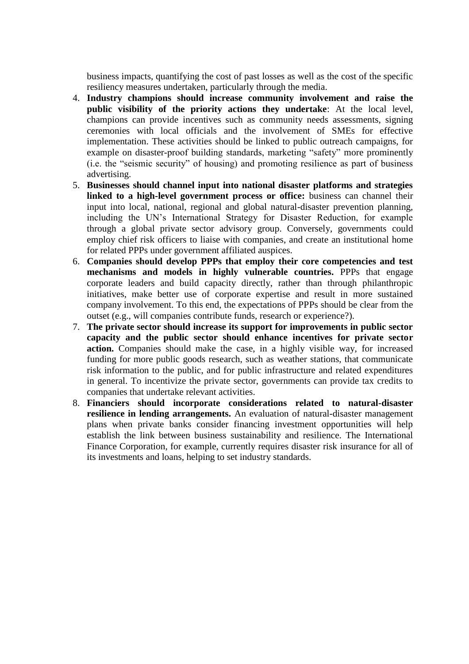business impacts, quantifying the cost of past losses as well as the cost of the specific resiliency measures undertaken, particularly through the media.

- 4. **Industry champions should increase community involvement and raise the public visibility of the priority actions they undertake**: At the local level, champions can provide incentives such as community needs assessments, signing ceremonies with local officials and the involvement of SMEs for effective implementation. These activities should be linked to public outreach campaigns, for example on disaster-proof building standards, marketing "safety" more prominently (i.e. the "seismic security" of housing) and promoting resilience as part of business advertising.
- 5. **Businesses should channel input into national disaster platforms and strategies linked to a high-level government process or office:** business can channel their input into local, national, regional and global natural-disaster prevention planning, including the UN's International Strategy for Disaster Reduction, for example through a global private sector advisory group. Conversely, governments could employ chief risk officers to liaise with companies, and create an institutional home for related PPPs under government affiliated auspices.
- 6. **Companies should develop PPPs that employ their core competencies and test mechanisms and models in highly vulnerable countries.** PPPs that engage corporate leaders and build capacity directly, rather than through philanthropic initiatives, make better use of corporate expertise and result in more sustained company involvement. To this end, the expectations of PPPs should be clear from the outset (e.g., will companies contribute funds, research or experience?).
- 7. **The private sector should increase its support for improvements in public sector capacity and the public sector should enhance incentives for private sector action.** Companies should make the case, in a highly visible way, for increased funding for more public goods research, such as weather stations, that communicate risk information to the public, and for public infrastructure and related expenditures in general. To incentivize the private sector, governments can provide tax credits to companies that undertake relevant activities.
- 8. **Financiers should incorporate considerations related to natural-disaster resilience in lending arrangements.** An evaluation of natural-disaster management plans when private banks consider financing investment opportunities will help establish the link between business sustainability and resilience. The International Finance Corporation, for example, currently requires disaster risk insurance for all of its investments and loans, helping to set industry standards.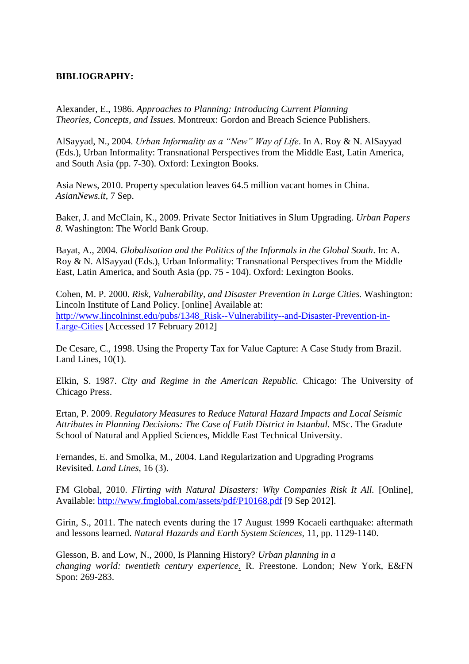#### **BIBLIOGRAPHY:**

Alexander, E., 1986. *Approaches to Planning: Introducing Current Planning Theories, Concepts, and Issues.* Montreux: Gordon and Breach Science Publishers.

AlSayyad, N., 2004. *Urban Informality as a "New" Way of Life*. In A. Roy & N. AlSayyad (Eds.), Urban Informality: Transnational Perspectives from the Middle East, Latin America, and South Asia (pp. 7-30). Oxford: Lexington Books.

Asia News, 2010. Property speculation leaves 64.5 million vacant homes in China. *AsianNews.it,* 7 Sep.

Baker, J. and McClain, K., 2009. Private Sector Initiatives in Slum Upgrading. *Urban Papers 8.* Washington: The World Bank Group.

Bayat, A., 2004. *Globalisation and the Politics of the Informals in the Global South*. In: A. Roy & N. AlSayyad (Eds.), Urban Informality: Transnational Perspectives from the Middle East, Latin America, and South Asia (pp. 75 - 104). Oxford: Lexington Books.

Cohen, M. P. 2000. *Risk, Vulnerability, and Disaster Prevention in Large Cities.* Washington: Lincoln Institute of Land Policy. [online] Available at: [http://www.lincolninst.edu/pubs/1348\\_Risk--Vulnerability--and-Disaster-Prevention-in-](http://www.lincolninst.edu/pubs/1348_Risk--Vulnerability--and-Disaster-Prevention-in-Large-Cities)[Large-Cities](http://www.lincolninst.edu/pubs/1348_Risk--Vulnerability--and-Disaster-Prevention-in-Large-Cities) [Accessed 17 February 2012]

De Cesare, C., 1998. Using the Property Tax for Value Capture: A Case Study from Brazil. Land Lines,  $10(1)$ .

Elkin, S. 1987. *City and Regime in the American Republic.* Chicago: The University of Chicago Press.

Ertan, P. 2009. *Regulatory Measures to Reduce Natural Hazard Impacts and Local Seismic Attributes in Planning Decisions: The Case of Fatih District in Istanbul.* MSc. The Gradute School of Natural and Applied Sciences, Middle East Technical University.

Fernandes, E. and Smolka, M., 2004. Land Regularization and Upgrading Programs Revisited. *Land Lines*, 16 (3).

FM Global, 2010. *Flirting with Natural Disasters: Why Companies Risk It All.* [Online], Available:<http://www.fmglobal.com/assets/pdf/P10168.pdf> [9 Sep 2012].

Girin, S., 2011. The natech events during the 17 August 1999 Kocaeli earthquake: aftermath and lessons learned. *Natural Hazards and Earth System Sciences,* 11, pp. 1129-1140.

Glesson, B. and Low, N., 2000, Is Planning History? *Urban planning in a changing world: twentieth century experience*. R. Freestone. London; New York, E&FN Spon: 269-283.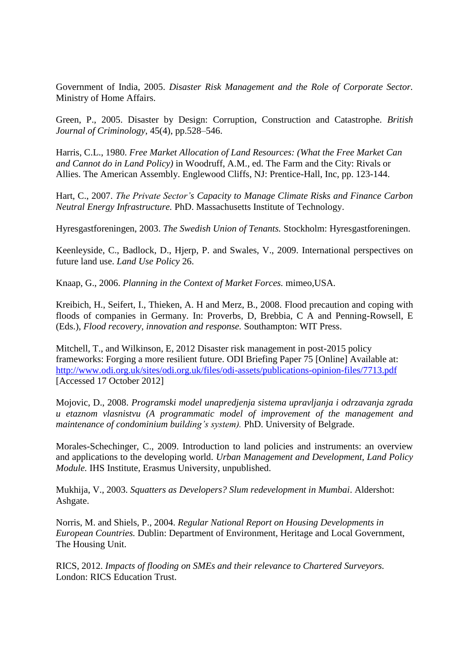Government of India, 2005. *Disaster Risk Management and the Role of Corporate Sector.*  Ministry of Home Affairs.

Green, P., 2005. Disaster by Design: Corruption, Construction and Catastrophe. *British Journal of Criminology*, 45(4), pp.528–546.

Harris, C.L., 1980. *Free Market Allocation of Land Resources: (What the Free Market Can and Cannot do in Land Policy)* in Woodruff, A.M., ed. The Farm and the City: Rivals or Allies. The American Assembly. Englewood Cliffs, NJ: Prentice-Hall, Inc, pp. 123-144.

Hart, C., 2007. *The Private Sector's Capacity to Manage Climate Risks and Finance Carbon Neutral Energy Infrastructure.* PhD. Massachusetts Institute of Technology.

Hyresgastforeningen, 2003. *The Swedish Union of Tenants.* Stockholm: Hyresgastforeningen.

Keenleyside, C., Badlock, D., Hjerp, P. and Swales, V., 2009. International perspectives on future land use. *Land Use Policy* 26.

Knaap, G., 2006. *Planning in the Context of Market Forces.* mimeo,USA.

Kreibich, H., Seifert, I., Thieken, A. H and Merz, B., 2008. Flood precaution and coping with floods of companies in Germany. In: Proverbs, D, Brebbia, C A and Penning-Rowsell, E (Eds.), *Flood recovery, innovation and response.* Southampton: WIT Press.

Mitchell, T., and Wilkinson, E, 2012 Disaster risk management in post-2015 policy frameworks: Forging a more resilient future. ODI Briefing Paper 75 [Online] Available at: <http://www.odi.org.uk/sites/odi.org.uk/files/odi-assets/publications-opinion-files/7713.pdf> [Accessed 17 October 2012]

Mojovic, D., 2008. *Programski model unapredjenja sistema upravljanja i odrzavanja zgrada u etaznom vlasnistvu (A programmatic model of improvement of the management and maintenance of condominium building's system).* PhD. University of Belgrade.

Morales-Schechinger, C., 2009. Introduction to land policies and instruments: an overview and applications to the developing world. *Urban Management and Development, Land Policy Module.* IHS Institute, Erasmus University, unpublished.

Mukhija, V., 2003. *Squatters as Developers? Slum redevelopment in Mumbai*. Aldershot: Ashgate.

Norris, M. and Shiels, P., 2004. *Regular National Report on Housing Developments in European Countries.* Dublin: Department of Environment, Heritage and Local Government, The Housing Unit.

RICS, 2012. *Impacts of flooding on SMEs and their relevance to Chartered Surveyors.*  London: RICS Education Trust.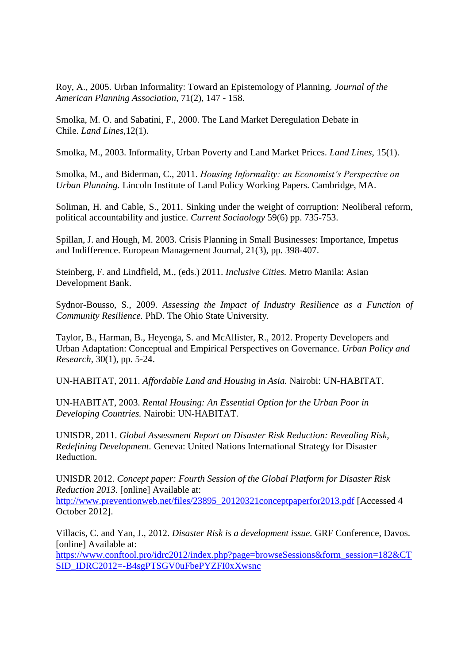Roy, A., 2005. Urban Informality: Toward an Epistemology of Planning. *Journal of the American Planning Association*, 71(2), 147 - 158.

Smolka, M. O. and Sabatini, F., 2000. The Land Market Deregulation Debate in Chile. *Land Lines*,12(1).

Smolka, M., 2003. Informality, Urban Poverty and Land Market Prices. *Land Lines*, 15(1).

Smolka, M., and Biderman, C., 2011. *Housing Informality: an Economist's Perspective on Urban Planning.* Lincoln Institute of Land Policy Working Papers. Cambridge, MA.

Soliman, H. and Cable, S., 2011. Sinking under the weight of corruption: Neoliberal reform, political accountability and justice. *Current Sociaology* 59(6) pp. 735-753.

Spillan, J. and Hough, M. 2003. Crisis Planning in Small Businesses: Importance, Impetus and Indifference. European Management Journal, 21(3), pp. 398-407.

Steinberg, F. and Lindfield, M., (eds.) 2011. *Inclusive Cities.* Metro Manila: Asian Development Bank.

Sydnor-Bousso, S., 2009. *Assessing the Impact of Industry Resilience as a Function of Community Resilience.* PhD. The Ohio State University.

Taylor, B., Harman, B., Heyenga, S. and McAllister, R., 2012. Property Developers and Urban Adaptation: Conceptual and Empirical Perspectives on Governance. *Urban Policy and Research,* 30(1), pp. 5-24.

UN-HABITAT, 2011. *Affordable Land and Housing in Asia.* Nairobi: UN-HABITAT.

UN-HABITAT, 2003. *Rental Housing: An Essential Option for the Urban Poor in Developing Countries.* Nairobi: UN-HABITAT.

UNISDR, 2011. *Global Assessment Report on Disaster Risk Reduction: Revealing Risk, Redefining Development.* Geneva: United Nations International Strategy for Disaster Reduction.

UNISDR 2012. *Concept paper: Fourth Session of the Global Platform for Disaster Risk Reduction 2013.* [online] Available at: [http://www.preventionweb.net/files/23895\\_20120321conceptpaperfor2013.pdf](http://www.preventionweb.net/files/23895_20120321conceptpaperfor2013.pdf) [Accessed 4 October 2012].

Villacis, C. and Yan, J., 2012. *Disaster Risk is a development issue.* GRF Conference, Davos. [online] Available at: [https://www.conftool.pro/idrc2012/index.php?page=browseSessions&form\\_session=182&CT](https://www.conftool.pro/idrc2012/index.php?page=browseSessions&form_session=182&CTSID_IDRC2012=-B4sgPTSGV0uFbePYZFI0xXwsnc) [SID\\_IDRC2012=-B4sgPTSGV0uFbePYZFI0xXwsnc](https://www.conftool.pro/idrc2012/index.php?page=browseSessions&form_session=182&CTSID_IDRC2012=-B4sgPTSGV0uFbePYZFI0xXwsnc)